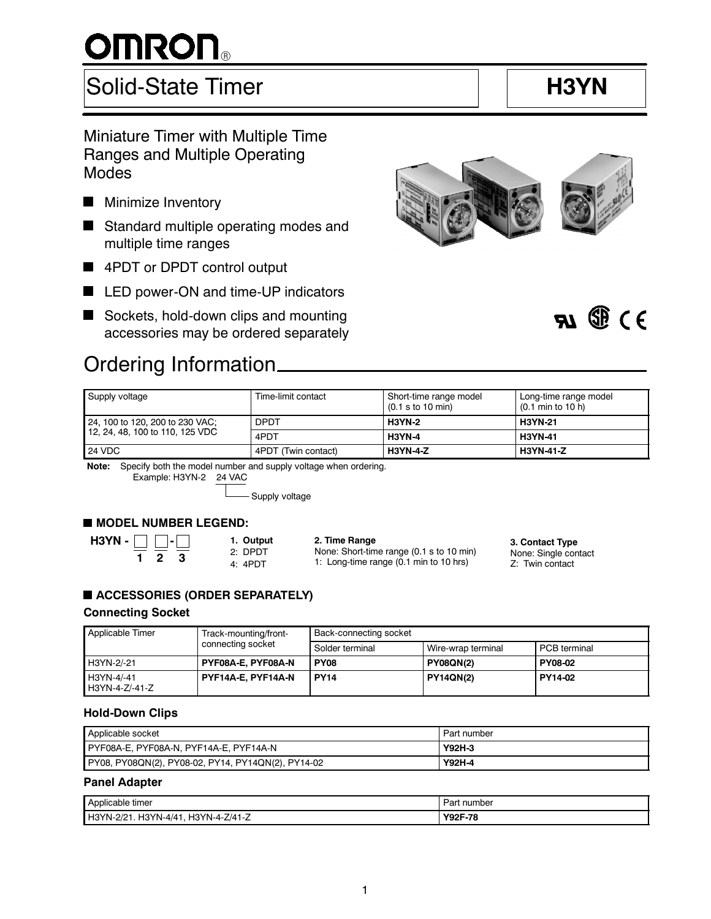# **OMRON**

# Solid-State Timer **H3YN**

 $7)$   $\Re$   $\chi$ 

# Miniature Timer with Multiple Time Ranges and Multiple Operating Modes



- **Minimize Inventory**
- Standard multiple operating modes and multiple time ranges
- 4PDT or DPDT control output
- LED power-ON and time-UP indicators
- Sockets, hold-down clips and mounting accessories may be ordered separately

# Ordering Information

| Supply voltage                                                     | Time-limit contact  | Short-time range model<br>$(0.1$ s to 10 min) | Long-time range model<br>$(0.1 \text{ min to } 10 \text{ h})$ |
|--------------------------------------------------------------------|---------------------|-----------------------------------------------|---------------------------------------------------------------|
| 24, 100 to 120, 200 to 230 VAC;<br>12, 24, 48, 100 to 110, 125 VDC | <b>DPDT</b>         | <b>H3YN-2</b>                                 | <b>H3YN-21</b>                                                |
|                                                                    | 4PDT                | <b>H3YN-4</b>                                 | <b>H3YN-41</b>                                                |
| 24 VDC                                                             | 4PDT (Twin contact) | <b>H3YN-4-Z</b>                               | <b>H3YN-41-Z</b>                                              |

**Note:** Specify both the model number and supply voltage when ordering.

Example: H3YN-2 24 VAC

- Supply voltage

## **MODEL NUMBER LEGEND:**

**H3YN - 1 2 3** **1. Output** 2: DPDT 4: 4PDT

**2. Time Range** None: Short-time range (0.1 s to 10 min) 1: Long-time range (0.1 min to 10 hrs)

#### **- 3. Contact Type** None: Single contact

Z: Twin contact

# **ACCESSORIES (ORDER SEPARATELY)**

### **Connecting Socket**

| Applicable Timer             | Track-mounting/front- | Back-connecting socket |                     |                |  |
|------------------------------|-----------------------|------------------------|---------------------|----------------|--|
| connecting socket            | Solder terminal       | Wire-wrap terminal     | <b>PCB</b> terminal |                |  |
| H3YN-2/-21                   | PYF08A-E, PYF08A-N    | PY <sub>08</sub>       | <b>PY08QN(2)</b>    | <b>PY08-02</b> |  |
| H3YN-4/-41<br>H3YN-4-Z/-41-Z | PYF14A-E, PYF14A-N    | <b>PY14</b>            | <b>PY14QN(2)</b>    | PY14-02        |  |

### **Hold-Down Clips**

| Applicable socket                                  | Part number   |
|----------------------------------------------------|---------------|
| PYF08A-E, PYF08A-N, PYF14A-E, PYF14A-N             | <b>Y92H-3</b> |
| PY08, PY08QN(2), PY08-02, PY14, PY14QN(2), PY14-02 | Y92H-4        |

### **Panel Adapter**

| $\sim$                                             | number  |
|----------------------------------------------------|---------|
| Applicable                                         | ⊃ດ      |
| ⊧ tımer                                            | αı      |
|                                                    |         |
| H3YN-4-Z/41-Z<br>$H3YN-4/4$<br>יפופ<br>'N.<br>טו ו | Y92F-78 |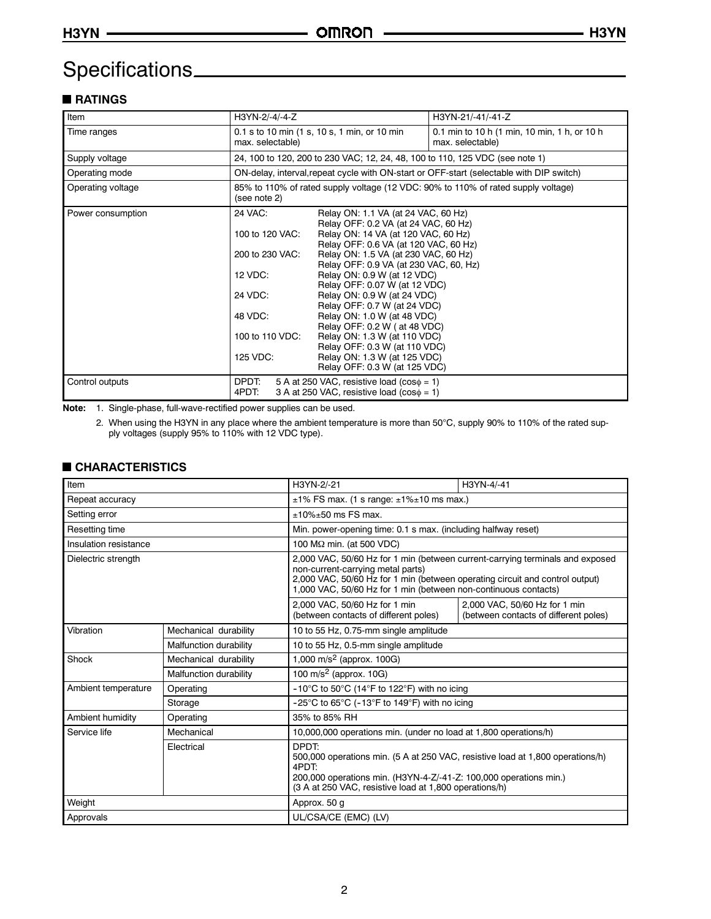# Specifications

# **RATINGS**

| Item              | H3YN-2/-4/-4-Z                                                   |                                                                                                                         | H3YN-21/-41/-41-Z                                                                        |  |
|-------------------|------------------------------------------------------------------|-------------------------------------------------------------------------------------------------------------------------|------------------------------------------------------------------------------------------|--|
| Time ranges       | 0.1 s to 10 min (1 s, 10 s, 1 min, or 10 min<br>max. selectable) |                                                                                                                         | 0.1 min to 10 h (1 min, 10 min, 1 h, or 10 h<br>max. selectable)                         |  |
| Supply voltage    |                                                                  |                                                                                                                         | 24, 100 to 120, 200 to 230 VAC; 12, 24, 48, 100 to 110, 125 VDC (see note 1)             |  |
| Operating mode    |                                                                  |                                                                                                                         | ON-delay, interval, repeat cycle with ON-start or OFF-start (selectable with DIP switch) |  |
| Operating voltage | (see note 2)                                                     |                                                                                                                         | 85% to 110% of rated supply voltage (12 VDC: 90% to 110% of rated supply voltage)        |  |
| Power consumption | 24 VAC:<br>100 to 120 VAC:                                       | Relay ON: 1.1 VA (at 24 VAC, 60 Hz)<br>Relay OFF: 0.2 VA (at 24 VAC, 60 Hz)<br>Relay ON: 14 VA (at 120 VAC, 60 Hz)      |                                                                                          |  |
|                   | 200 to 230 VAC:                                                  | Relay OFF: 0.6 VA (at 120 VAC, 60 Hz)<br>Relay ON: 1.5 VA (at 230 VAC, 60 Hz)<br>Relay OFF: 0.9 VA (at 230 VAC, 60, Hz) |                                                                                          |  |
|                   | 12 VDC:                                                          | Relay ON: 0.9 W (at 12 VDC)<br>Relay OFF: 0.07 W (at 12 VDC)                                                            |                                                                                          |  |
|                   | 24 VDC:                                                          | Relay ON: 0.9 W (at 24 VDC)<br>Relay OFF: 0.7 W (at 24 VDC)                                                             |                                                                                          |  |
|                   | 48 VDC:                                                          | Relay ON: 1.0 W (at 48 VDC)<br>Relay OFF: 0.2 W (at 48 VDC)                                                             |                                                                                          |  |
|                   | 100 to 110 VDC:                                                  | Relay ON: 1.3 W (at 110 VDC)<br>Relay OFF: 0.3 W (at 110 VDC)                                                           |                                                                                          |  |
|                   | 125 VDC:                                                         | Relay ON: 1.3 W (at 125 VDC)<br>Relay OFF: 0.3 W (at 125 VDC)                                                           |                                                                                          |  |
| Control outputs   | DPDT:<br>4PDT:                                                   | 5 A at 250 VAC, resistive load ( $cos\phi = 1$ )<br>3 A at 250 VAC, resistive load $(cos\phi = 1)$                      |                                                                                          |  |

**Note:** 1. Single-phase, full-wave-rectified power supplies can be used.

2. When using the H3YN in any place where the ambient temperature is more than 50°C, supply 90% to 110% of the rated supply voltages (supply 95% to 110% with 12 VDC type).

### **CHARACTERISTICS**

| Item<br>H3YN-2/-21<br>H3YN-4/-41  |                        |                                                                                                                                                                                                                                                                       |                                                                        |  |
|-----------------------------------|------------------------|-----------------------------------------------------------------------------------------------------------------------------------------------------------------------------------------------------------------------------------------------------------------------|------------------------------------------------------------------------|--|
| Repeat accuracy                   |                        | $\pm$ 1% FS max. (1 s range: $\pm$ 1% $\pm$ 10 ms max.)                                                                                                                                                                                                               |                                                                        |  |
| Setting error                     |                        | $±10\%±50$ ms FS max.                                                                                                                                                                                                                                                 |                                                                        |  |
| Resetting time                    |                        | Min. power-opening time: 0.1 s max. (including halfway reset)                                                                                                                                                                                                         |                                                                        |  |
| Insulation resistance             |                        | 100 $\text{M}\Omega$ min. (at 500 VDC)                                                                                                                                                                                                                                |                                                                        |  |
| Dielectric strength               |                        | 2,000 VAC, 50/60 Hz for 1 min (between current-carrying terminals and exposed<br>non-current-carrying metal parts)<br>2,000 VAC, 50/60 Hz for 1 min (between operating circuit and control output)<br>1,000 VAC, 50/60 Hz for 1 min (between non-continuous contacts) |                                                                        |  |
|                                   |                        | 2,000 VAC, 50/60 Hz for 1 min<br>(between contacts of different poles)                                                                                                                                                                                                | 2,000 VAC, 50/60 Hz for 1 min<br>(between contacts of different poles) |  |
| Vibration                         | Mechanical durability  | 10 to 55 Hz, 0.75-mm single amplitude                                                                                                                                                                                                                                 |                                                                        |  |
| Malfunction durability            |                        | 10 to 55 Hz, 0.5-mm single amplitude                                                                                                                                                                                                                                  |                                                                        |  |
| Shock                             | Mechanical durability  | 1,000 m/s <sup>2</sup> (approx. 100G)                                                                                                                                                                                                                                 |                                                                        |  |
|                                   | Malfunction durability | 100 m/s <sup>2</sup> (approx. 10G)                                                                                                                                                                                                                                    |                                                                        |  |
| Ambient temperature               | Operating              | -10°C to 50°C (14°F to 122°F) with no icing                                                                                                                                                                                                                           |                                                                        |  |
|                                   | Storage                | -25°C to 65°C (-13°F to 149°F) with no icing                                                                                                                                                                                                                          |                                                                        |  |
| Ambient humidity                  | Operating              | 35% to 85% RH                                                                                                                                                                                                                                                         |                                                                        |  |
| Service life                      | Mechanical             | 10,000,000 operations min. (under no load at 1,800 operations/h)                                                                                                                                                                                                      |                                                                        |  |
|                                   | Electrical             | DPDT:<br>500,000 operations min. (5 A at 250 VAC, resistive load at 1,800 operations/h)<br>4PDT:<br>200,000 operations min. (H3YN-4-Z/-41-Z: 100,000 operations min.)<br>(3 A at 250 VAC, resistive load at 1,800 operations/h)                                       |                                                                        |  |
| Weight                            |                        | Approx. 50 g                                                                                                                                                                                                                                                          |                                                                        |  |
| UL/CSA/CE (EMC) (LV)<br>Approvals |                        |                                                                                                                                                                                                                                                                       |                                                                        |  |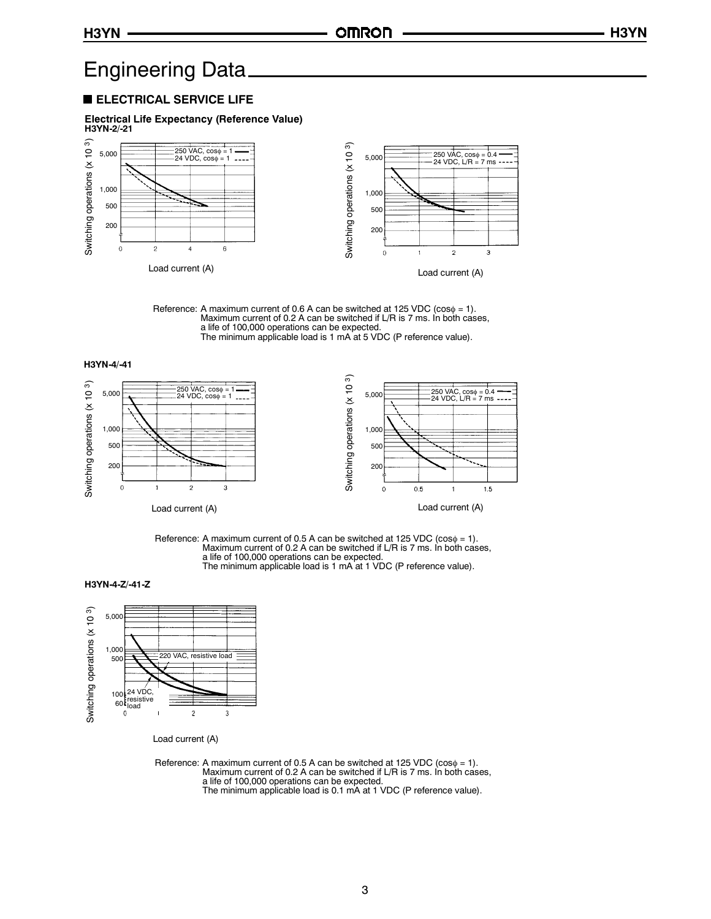# Engineering Data

#### **ELECTRICAL SERVICE LIFE**

**Electrical Life Expectancy (Reference Value) H3YN-2/-21**



Reference: A maximum current of 0.6 A can be switched at 125 VDC ( $cos\phi = 1$ ). Maximum current of 0.2 A can be switched if L/R is 7 ms. In both cases, a life of 100,000 operations can be expected. The minimum applicable load is 1 mA at 5 VDC (P reference value).



3



Reference: A maximum current of 0.5 A can be switched at 125 VDC ( $cos\phi = 1$ ). Maximum current of 0.2 A can be switched if L/R is 7 ms. In both cases, a life of 100,000 operations can be expected. The minimum applicable load is 1 mA at 1 VDC (P reference value).

H3YN-4-Z/-41-Z

 $\circ$ 



Load current (A)

 $\overline{2}$ 

 $\mathbf{1}$ 

Load current (A)

Reference: A maximum current of 0.5 A can be switched at 125 VDC ( $cos\phi = 1$ ). Maximum current of 0.2 A can be switched if L/R is 7 ms. In both cases, a life of 100,000 operations can be expected. The minimum applicable load is 0.1 mA at 1 VDC (P reference value).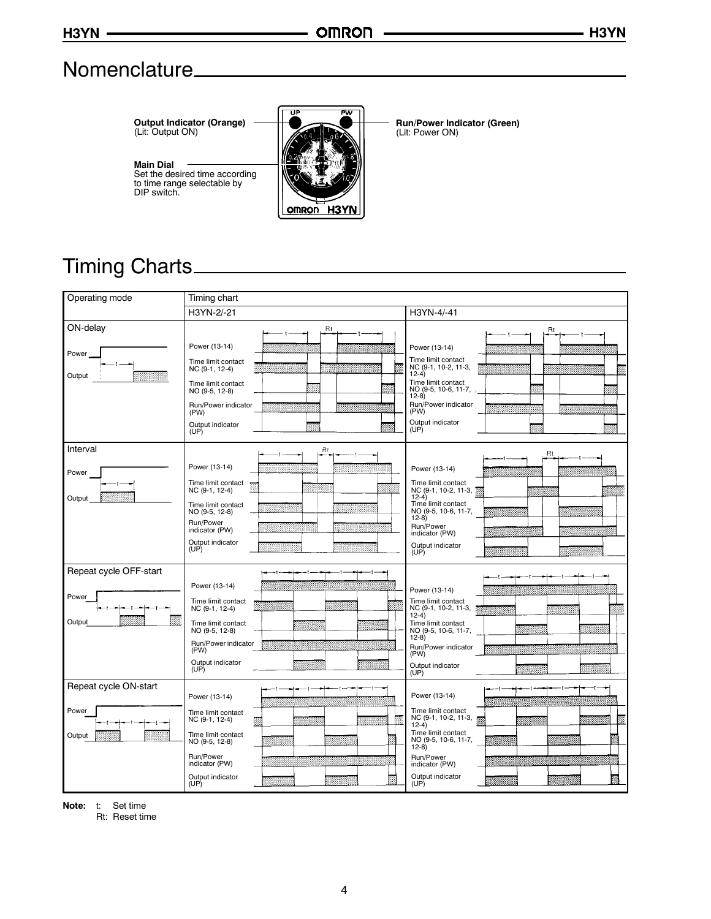# Nomenclature

**Output Indicator (Orange)** (Lit: Output ON)



**Run/Power Indicator (Green)** (Lit: Power ON)

#### **Main Dial** Set the desired time according to time range selectable by DIP switch.



| Operating mode                            | Timing chart                                                                                                                                                   |                                                                                                                                                                                                  |  |  |
|-------------------------------------------|----------------------------------------------------------------------------------------------------------------------------------------------------------------|--------------------------------------------------------------------------------------------------------------------------------------------------------------------------------------------------|--|--|
|                                           | H3YN-2/-21                                                                                                                                                     | H3YN-4/-41                                                                                                                                                                                       |  |  |
| ON-delay<br>Power<br>Output               | Rt<br>Power (13-14)<br>Time limit contact<br>NC (9-1, 12-4)<br>Time limit contact<br>NO (9-5, 12-8)<br>Run/Power indicator<br>(PW)<br>Output indicator<br>(UP) | Rt<br>Power (13-14)<br>Time limit contact<br>NC (9-1, 10-2, 11-3,<br>$12-4)$<br>Time limit contact<br>NO (9-5, 10-6, 11-7,<br>$12-8)$<br>Run/Power indicator<br>(PW)<br>Output indicator<br>(UP) |  |  |
| Interval<br>Power<br>Output               | Rt<br>Power (13-14)<br>Time limit contact<br>NC (9-1, 12-4)<br>Time limit contact<br>NO (9-5, 12-8)<br>Run/Power<br>indicator (PW)<br>Output indicator<br>(UP) | Rt<br>Power (13-14)<br>Time limit contact<br>NC (9-1, 10-2, 11-3,<br>$12-4)$<br>Time limit contact<br>NO (9-5, 10-6, 11-7,<br>$12-8$<br>Run/Power<br>indicator (PW)<br>Output indicator<br>(UP)  |  |  |
| Repeat cycle OFF-start<br>Power<br>Output | Power (13-14)<br>Time limit contact<br>NC (9-1, 12-4)<br>Time limit contact<br>NO (9-5, 12-8)<br>Run/Power indicator<br>(PW)<br>Output indicator<br>(UP)       | Power (13-14)<br>Time limit contact<br>NC (9-1, 10-2, 11-3,<br>$12-4)$<br>Time limit contact<br>NO (9-5, 10-6, 11-7,<br>$12-8$<br>Run/Power indicator<br>(PW)<br>Output indicator<br>(UP)        |  |  |
| Repeat cycle ON-start<br>Power<br>Output  | Power (13-14)<br>Time limit contact<br>NC (9-1, 12-4)<br>Time limit contact<br>NO (9-5, 12-8)<br>Run/Power<br>indicator (PW)<br>Output indicator<br>(UP)       | Power (13-14)<br>Time limit contact<br>NC (9-1, 10-2, 11-3,<br>$12-4)$<br>Time limit contact<br>NO (9-5, 10-6, 11-7,<br>$12-8)$<br>Run/Power<br>indicator (PW)<br>Output indicator<br>(UP)       |  |  |

**Note:** t: Set time

Rt: Reset time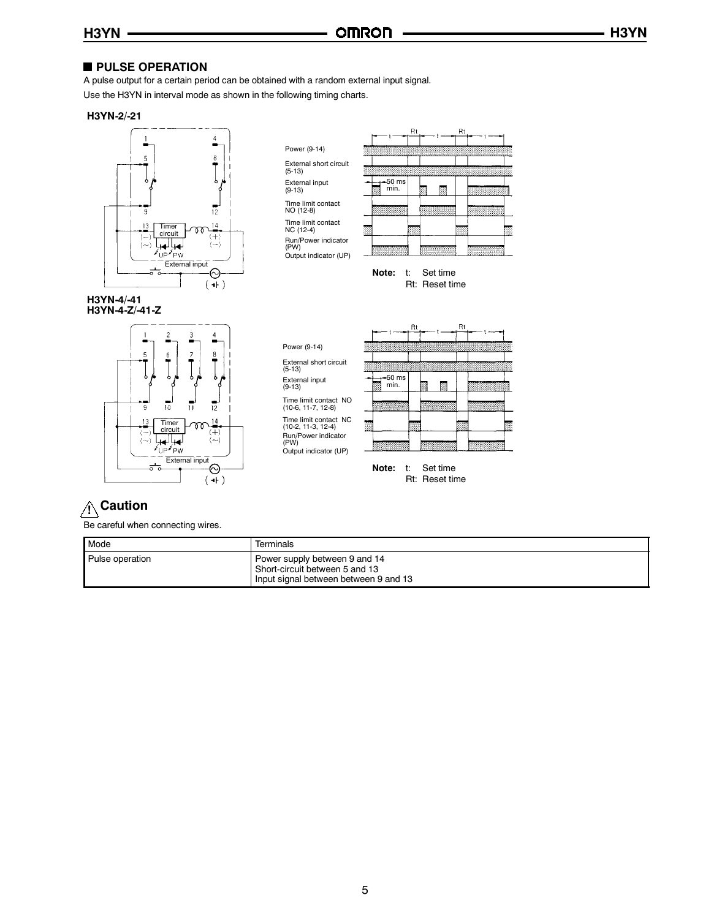### **PULSE OPERATION**

A pulse output for a certain period can be obtained with a random external input signal.

Use the H3YN in interval mode as shown in the following timing charts.

#### **H3YN-2/-21**



**H3YN-4/-41 H3YN-4-Z/-41-Z**



Power (9-14) External short circuit (5-13) External input (9-13)

Time limit contact NO (12-8) Time limit contact NC (12-4)

Run/Power indicator (PW) Output indicator (UP)

Power (9-14)

External short circuit (5-13) External input (9-13)

(10-2, 11-3, 12-4) Run/Power indicator (PW)



**Note:** t: Set time Rt: Reset time



Rt: Reset time

# **! Caution**

Be careful when connecting wires.

| Mode            | Terminals                                                                                                |
|-----------------|----------------------------------------------------------------------------------------------------------|
| Pulse operation | Power supply between 9 and 14<br>Short-circuit between 5 and 13<br>Input signal between between 9 and 13 |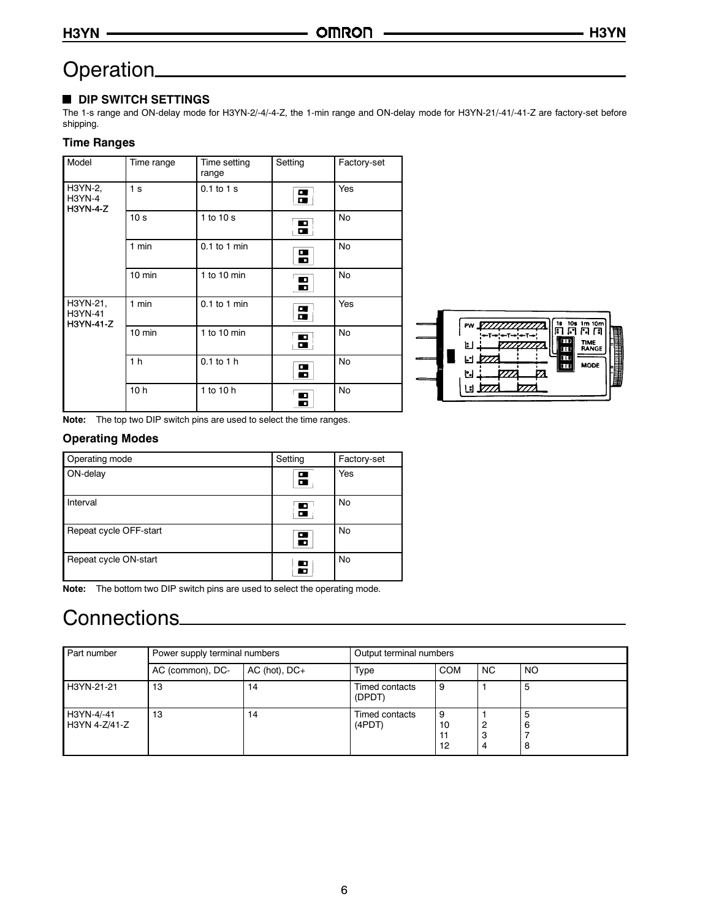# Operation

### **DIP SWITCH SETTINGS**

The 1-s range and ON-delay mode for H3YN-2/-4/-4-Z, the 1-min range and ON-delay mode for H3YN-21/-41/-41-Z are factory-set before shipping.

### **Time Ranges**

| Model                                       | Time range      | Time setting<br>range | Setting                          | Factory-set |  |
|---------------------------------------------|-----------------|-----------------------|----------------------------------|-------------|--|
| H3YN-2,<br><b>H3YN-4</b><br><b>H3YN-4-Z</b> | 1 <sub>s</sub>  | $0.1$ to $1$ s        | $\overline{a}$                   | Yes         |  |
|                                             | 10 <sub>s</sub> | 1 to $10 s$           | $\blacksquare$                   | No          |  |
|                                             | $1$ min         | $0.1$ to 1 min        | $\blacksquare$                   | No          |  |
|                                             | 10 min          | 1 to 10 $min$         | $\overline{\mathbf{B}}$          | No          |  |
| H3YN-21,<br>H3YN-41<br>H3YN-41-Z            | $1$ min         | $0.1$ to 1 min        | $\overline{a}$                   | Yes         |  |
|                                             | 10 min          | $1$ to $10$ min       | $\blacksquare$<br>$\blacksquare$ | No          |  |
|                                             | 1 <sub>h</sub>  | $0.1$ to $1$ h        | Н                                | No          |  |
|                                             | 10 <sub>h</sub> | 1 to 10 h             | Ε                                | No          |  |



**Note:** The top two DIP switch pins are used to select the time ranges.

#### **Operating Modes**

| Operating mode         | Setting | Factory-set |
|------------------------|---------|-------------|
| ON-delay               | п.<br>▫ | Yes         |
| Interval               | Н       | No          |
| Repeat cycle OFF-start | о<br>о  | No          |
| Repeat cycle ON-start  |         | No          |

**Note:** The bottom two DIP switch pins are used to select the operating mode.

# Connections

| Part number                 | Power supply terminal numbers |                   |                          | Output terminal numbers |             |           |  |
|-----------------------------|-------------------------------|-------------------|--------------------------|-------------------------|-------------|-----------|--|
|                             | AC (common), DC-              | $AC$ (hot), $DC+$ | Type                     | <b>COM</b>              | <b>NC</b>   | <b>NO</b> |  |
| H3YN-21-21                  | 13                            | 14                | Timed contacts<br>(DPDT) | 9                       |             | 5         |  |
| H3YN-4/-41<br>H3YN 4-Z/41-Z | 13                            | 14                | Timed contacts<br>(4PDT) | 9<br>10<br>11<br>12     | 2<br>з<br>4 | 8         |  |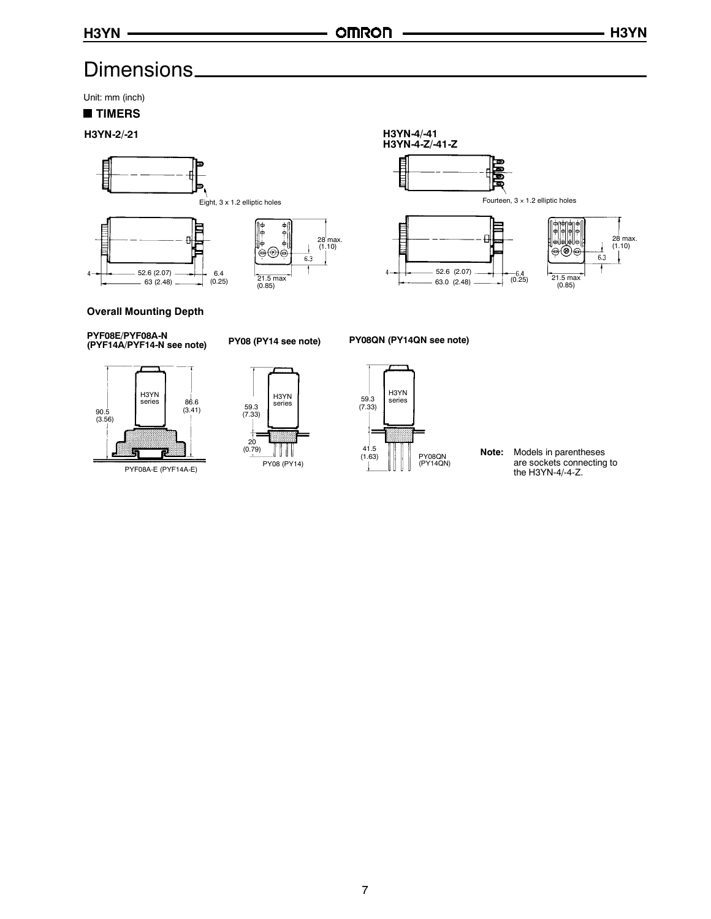# Dimensions

Unit: mm (inch)

#### **TIMERS**





#### **Overall Mounting Depth**

**PYF08E/PYF08A-N (PYF14A/PYF14-N see note) PY08 (PY14 see note) PY08QN (PY14QN see note)**



PYF08A-E (PYF14A-E)



series

PY08 (PY14)

 $20$  $(0.79)$   $||$   $||$ 

Ð





PY08QN<br>(PY14QN)

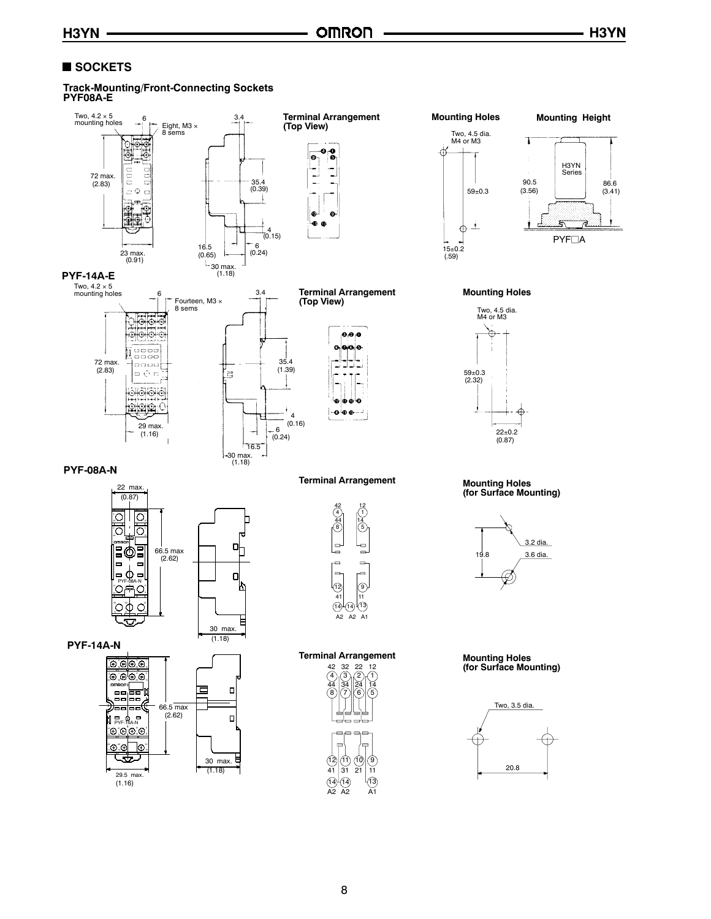## ■ SOCKETS

#### **Track-Mounting/Front-Connecting Sockets PYF08A-E**

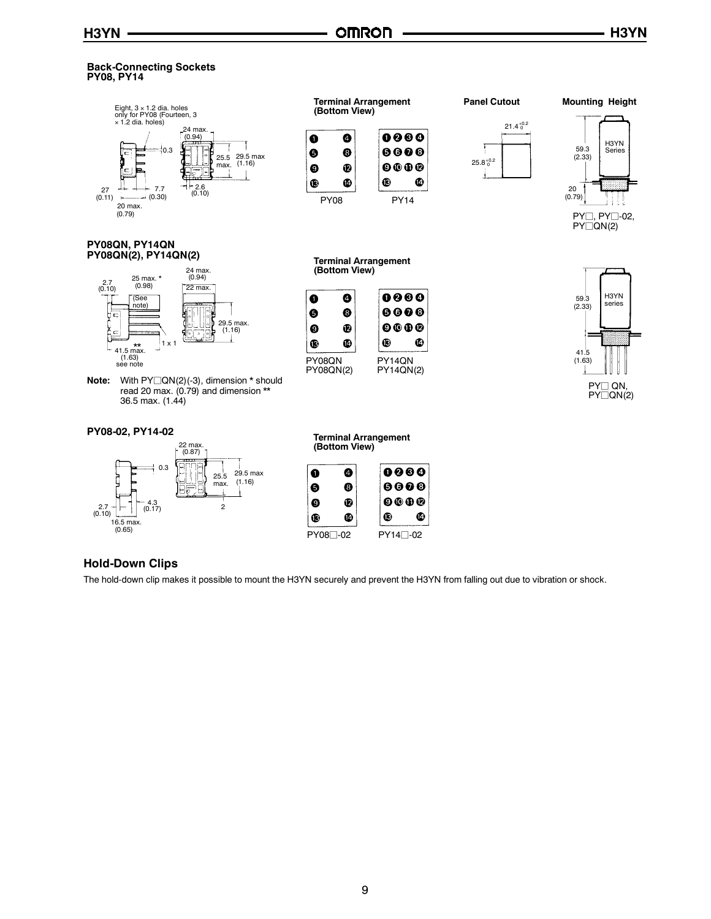#### **Back-Connecting Sockets PY08, PY14**



#### **PY08QN, PY14QN PY08QN(2), PY14QN(2)**



**Note:** With PY□QN(2)(-3), dimension \* should read 20 max. (0.79) and dimension \*\* 36.5 max. (1.44)

#### **PY08-02, PY14-02**





**Terminal Arrangement (Bottom View)**

 $\bullet$ 

❸

Ø

¢



 $25.8^{+0.2}_{0}$ 

ز

Ţ





**Mounting Height**



#### **Terminal Arrangement (Bottom View)**

PY14QN PY14QN(2)

⊕

0000

 $0000$ 

 $0000$ 

 $\bullet$ 

PY08QN PY08QN(2)

 $\bullet$ 

 $\ddot{\mathbf{e}}$ 

 $\boldsymbol{\Theta}$  $\bullet$ 



**Hold-Down Clips**

The hold-down clip makes it possible to mount the H3YN securely and prevent the H3YN from falling out due to vibration or shock.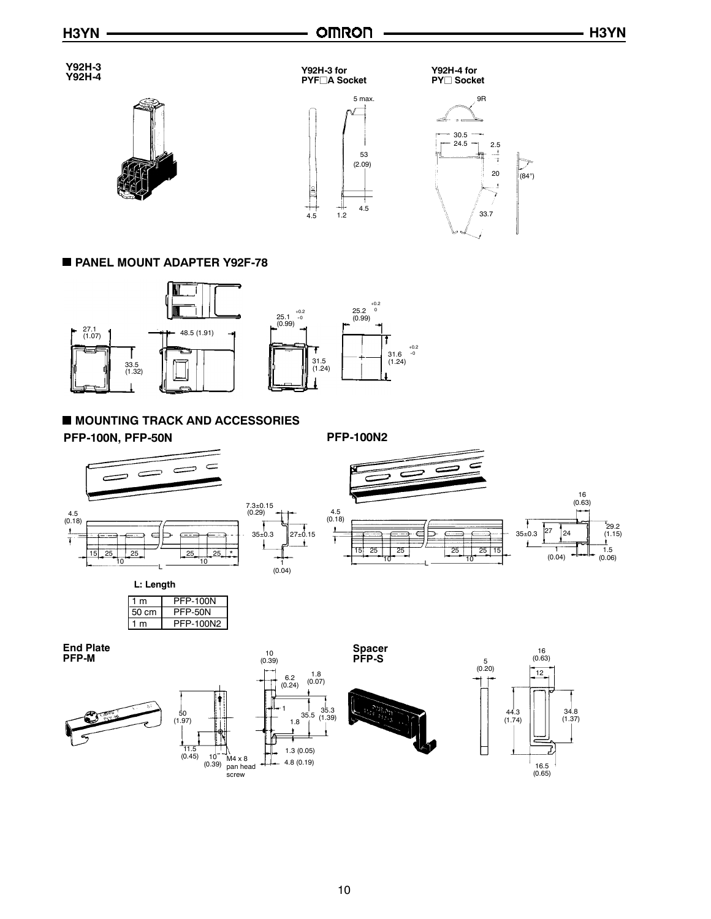1.5 (0.06)

 $^{7}_{29.2}$ (1.15)



**End Plate PFP-M**









**Spacer**